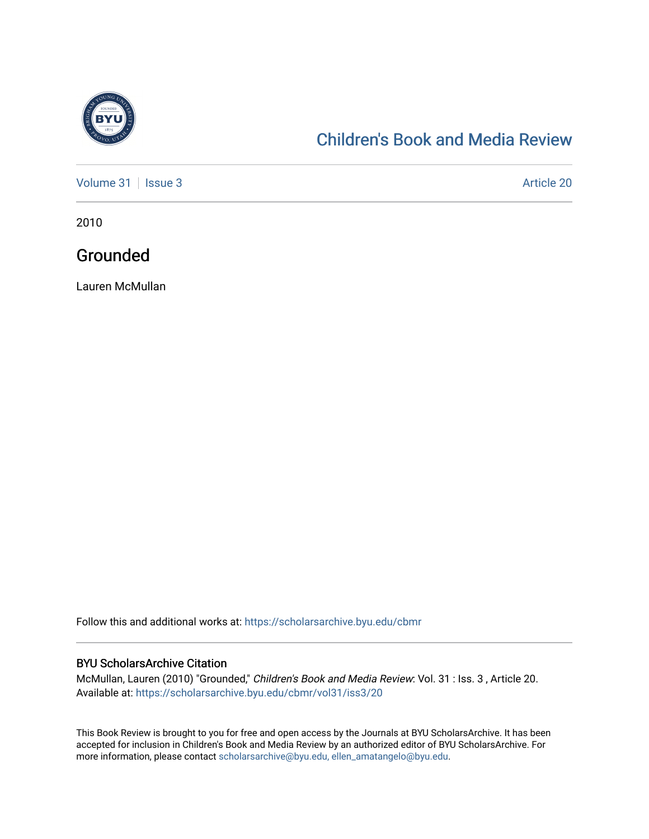

## [Children's Book and Media Review](https://scholarsarchive.byu.edu/cbmr)

[Volume 31](https://scholarsarchive.byu.edu/cbmr/vol31) | [Issue 3](https://scholarsarchive.byu.edu/cbmr/vol31/iss3) Article 20

2010

## Grounded

Lauren McMullan

Follow this and additional works at: [https://scholarsarchive.byu.edu/cbmr](https://scholarsarchive.byu.edu/cbmr?utm_source=scholarsarchive.byu.edu%2Fcbmr%2Fvol31%2Fiss3%2F20&utm_medium=PDF&utm_campaign=PDFCoverPages) 

## BYU ScholarsArchive Citation

McMullan, Lauren (2010) "Grounded," Children's Book and Media Review: Vol. 31 : Iss. 3 , Article 20. Available at: [https://scholarsarchive.byu.edu/cbmr/vol31/iss3/20](https://scholarsarchive.byu.edu/cbmr/vol31/iss3/20?utm_source=scholarsarchive.byu.edu%2Fcbmr%2Fvol31%2Fiss3%2F20&utm_medium=PDF&utm_campaign=PDFCoverPages)

This Book Review is brought to you for free and open access by the Journals at BYU ScholarsArchive. It has been accepted for inclusion in Children's Book and Media Review by an authorized editor of BYU ScholarsArchive. For more information, please contact [scholarsarchive@byu.edu, ellen\\_amatangelo@byu.edu.](mailto:scholarsarchive@byu.edu,%20ellen_amatangelo@byu.edu)